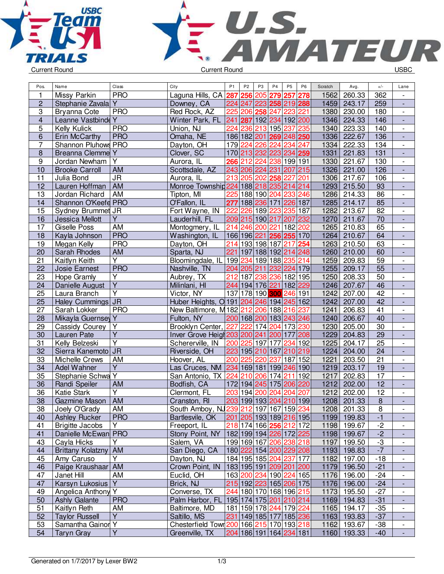



| 1<br><b>PRO</b><br>257<br>362<br>Missy Parkin<br>Laguna Hills, CA<br>287<br>256<br>205<br>279<br>278<br>1562<br>260.33<br>$\overline{c}$<br>1459<br>259<br>Y<br>224 247<br>223 258 219 288<br>243.17<br>Stephanie Zavala<br>Downey, CA<br>$\overline{\phantom{a}}$<br>3<br>Red Rock, AZ<br>223<br>180<br><b>Bryanna Cote</b><br><b>PRO</b><br>225<br>206<br>258<br>247<br>221<br>1380<br>230.00<br>$\overline{\phantom{a}}$<br>$\overline{\mathbf{4}}$<br>Leanne Vastbinde Y<br>241<br>192 200<br>146<br>Winter Park, FL<br>287<br>192 234<br>1346<br>224.33<br>$\blacksquare$<br>5<br>213 195<br>237<br>235<br><b>PRO</b><br>Union, NJ<br>224<br>236<br>223.33<br>140<br>Kelly Kulick<br>1340<br>$\overline{\phantom{a}}$<br>6<br><b>PRO</b><br>136<br>Erin McCarthy<br>Omaha, NE<br>186 182 201 269 248 250<br>1336<br>222.67<br>$\blacksquare$<br>$\overline{7}$<br>224<br>234<br>222.33<br>Shannon Pluhows PRO<br>$\overline{1}$ 79<br>226<br>247<br>134<br>Dayton, OH<br>224<br>1334<br>$\overline{\phantom{a}}$<br>$\overline{8}$<br>170 213 232 223 234 259<br>Breanna Clemme<br>Y<br>Clover, SC<br>1331<br>221.83<br>131<br>$\frac{1}{2}$<br>$\boldsymbol{9}$<br>Jordan Newham<br>Υ<br>266 212 224 238 199 191<br>1330<br>221.67<br>130<br>Aurora, IL<br>$\overline{\phantom{a}}$<br>243 206 224 231<br>207<br>215<br>1326<br>221.00<br>10<br><b>Brooke Carroll</b><br><b>AM</b><br>Scottsdale, AZ<br>126<br>÷,<br>11<br>213 205 202 258<br>227<br>106<br>Julia Bond<br><b>JR</b><br>Aurora, IL<br>201<br>1306<br>217.67<br>$\overline{\phantom{a}}$<br>$\overline{12}$<br>$\overline{93}$<br><b>AM</b><br>1293<br>Lauren Hoffman<br>Monroe Township 224 188 218 235<br>214<br>214<br>215.50<br>$\overline{\phantom{a}}$<br>86<br>13<br>AM<br>225<br>188 190 204<br>233<br>246<br>1286<br>Jordan Richard<br>Tipton, MI<br>214.33<br>$\overline{\phantom{a}}$<br>85<br>14<br>Shannon O'Keefe PRO<br>O'Fallon, IL<br>226 187<br>1285<br>277<br>188 236 171<br>214.17<br>$\blacksquare$<br>226<br>189 223<br>235<br>187<br>1282<br>213.67<br>82<br>15<br>Sydney Brummet JR<br>Fort Wayne, IN<br>222<br>$\overline{\phantom{a}}$<br>Ÿ<br>209 215 190 217<br>232<br>70<br>16<br>Jessica Mellott<br>Lauderhill, FL<br>207<br>1270<br>211.67<br>$\blacksquare$<br><b>AM</b><br>214<br>65<br>17<br>246 200<br>221<br>182<br>202<br>1265<br>210.83<br><b>Giselle Poss</b><br>Montogmery, IL<br>$\overline{\phantom{a}}$<br><b>PRO</b><br>18<br>166 196 221 256 255 170<br>1264<br>210.67<br>64<br>Kayla Johnson<br>Washington, IL<br>$\blacksquare$<br><b>PRO</b><br>19<br>214<br>217<br>254<br>1263<br>63<br>Megan Kelly<br>Dayton, OH<br>193 198 187<br>210.50<br>$\overline{\phantom{a}}$<br>20<br>Sarah Rhodes<br>Sparta, NJ<br>221<br>197 188 192 214<br>1260<br>210.00<br>60<br><b>AM</b><br>248<br>$\overline{\phantom{a}}$<br>Ÿ<br>21<br>235<br>59<br>Kaitlyn Keith<br>Bloomingdale, IL<br>199 234<br>189 188<br>214<br>1259<br>209.83<br>$\frac{1}{2}$<br><b>PRO</b><br>$\overline{55}$<br>22<br>1255<br><b>Josie Earnest</b><br>Nashville, TN<br>204 205 211<br>232<br>224 179<br>209.17<br>$\overline{\phantom{a}}$<br>23<br>Υ<br>212<br>236 182 195<br>208.33<br>50<br>Hope Gramly<br>Aubrey, TX<br>187<br>238<br>1250<br>$\overline{\phantom{a}}$<br>$\overline{Y}$<br>182 229<br>46<br>24<br>Milinlani, HI<br>244<br>194 176 221<br>1246<br>207.67<br>Danielle August<br>$\overline{\phantom{a}}$<br>$\overline{\mathsf{Y}}$<br>178 190 300 246 191<br>137<br>42<br>25<br>Laura Branch<br>Victor, NY<br>1242<br>207.00<br>$\overline{\phantom{a}}$<br>$\overline{42}$<br>Haley Cummings JR<br>Huber Heights, O 191 204 246 194 245 162<br>25<br>1242<br>207.00<br>$\frac{1}{2}$<br>New Baltimore, M182 212 206 188<br>216<br>$\overline{41}$<br>27<br>Sarah Lokker<br><b>PRO</b><br>237<br>1241<br>206.83<br>$\overline{a}$<br>28<br>Y<br>Fulton, NY<br>200 168 200 183 243 246<br>40<br>Mikayla Guernsey<br>1240<br>206.67<br>$\frac{1}{2}$<br>227<br>29<br>222<br>174 204<br>173<br>230<br>1230<br>205.00<br>30<br>Cassidy Courey<br>Υ<br>Brooklyn Center,<br>$\overline{\phantom{a}}$<br>Y<br>1229<br>29<br>30<br>Lauren Pate<br>Inver Grove Heigl 203 200 241 200<br>177<br>208<br>204.83<br>$\overline{\phantom{a}}$<br>Ÿ<br>25<br>31<br>200 225 197<br> 177<br>234<br>1225<br>204.17<br>Kelly Belzeski<br>Schererville, IN<br>192<br>$\frac{1}{2}$<br>$\overline{32}$<br>Sierra Kanemoto JR<br>223 195 210 167<br>219<br>1224<br>24<br>Riverside, OH<br>210<br>204.00<br>33<br>$\overline{21}$<br>AM<br>237<br>187 152<br>1221<br>Michelle Crews<br>Hoover, AL<br>200 225<br>220<br>203.50<br>$\overline{\phantom{a}}$<br>Y<br>19<br>34<br>Adel Wahner<br>234<br>169 181 199 246 190<br>1219<br>203.17<br>Las Cruces, NM<br>$\blacksquare$<br>Stephanie Schwa Y<br>211<br>192<br>17<br>35<br>San Antonio, TX<br>224<br>210<br>206 174<br>1217<br>202.83<br>$\overline{\phantom{a}}$<br>$\overline{12}$<br>36<br>AM<br>172 194 245 175 206<br>220<br>1212<br>202.00<br>Randi Speiler<br>Bodfish, CA<br>$\blacksquare$<br>$\overline{Y}$<br>12<br>36<br><b>Katie Stark</b><br>203 194 200<br>204<br>204<br>207<br>Clermont, FL<br>1212<br>202.00<br>$\overline{\phantom{a}}$<br>$\overline{8}$<br>38<br><b>AM</b><br>203 199 193 204 210 199<br>1208<br>201.33<br>Gazmine Mason<br>Cranston, RI<br>$\overline{a}$<br>Joely O'Grady<br>AM<br>South Amboy, NJ239 212 197 167 159 234<br>1208 201.33<br>38<br>$\overline{8}$<br>$\overline{\phantom{a}}$<br>$-1$<br>201 205 193 189 216 195<br><b>Ashley Rucker</b><br><b>PRO</b><br>Bartlesvile, OK<br>1199 199.83<br>40<br>$\qquad \qquad \blacksquare$<br>41<br>218 174 166 256 212 172<br><b>Brigitte Jacobs</b><br>Y<br>Freeport, IL<br>1198 199.67<br>$-2$<br>$\overline{\phantom{a}}$<br>$-2$<br>Danielle McEwan PRO<br>Stony Point, NY<br>182 199 194 226 172 225<br>41<br>1198 199.67<br>$-3$<br>43<br>199 169 167 206 238 218<br>Cayla Hicks<br>Y<br>Salem, VA<br>1197 199.50<br>$\overline{\phantom{a}}$<br>$-7$<br>San Diego, CA<br>180 222 154 200 229 208<br>44<br>Brittany Kolatzny<br>1193 198.83<br>AM<br>184   195   185   204   237   177<br>Amy Caruso<br>Y<br>$-18$<br>45<br>Dayton, NJ<br>1182 197.00<br>46<br>Paige Kraushaar   AM<br>Crown Point, IN<br>183 195 191 209 201 200<br>1179 196.50<br>$-21$<br>$\overline{\phantom{a}}$<br>AM<br>163 200 234 190 224 165<br>47<br>Euclid, OH<br>1176 196.00<br>$-24$<br>Janet Hill<br>$\overline{\phantom{a}}$<br>Y.<br>47<br>Karsyn Lukosius<br>Brick, NJ<br>215 192 223 165 206 175<br>1176 196.00<br>$-24$<br>$\blacksquare$<br>Angelica Anthony<br>Y<br>Converse, TX<br>244 180 170 168 196 215<br>49<br>1173 195.50<br>$-27$<br>$\overline{\phantom{a}}$<br>195 174 175 201 210 214<br>50<br><b>Ashly Galante</b><br><b>PRO</b><br>Palm Harbor, FL<br>1169 194.83<br>$-31$<br>$\overline{\phantom{a}}$<br>51<br>Kaitlyn Reth<br>Baltimore, MD<br>181   159   178   244   179   224<br>1165 194.17<br>$-35$<br>AM<br>$\overline{\phantom{a}}$<br>Y<br>52<br><b>Taylor Russell</b><br>Saltillo, MS<br>1163 193.83<br>231 149 185 177 185 236<br>$-37$<br>٠<br>53<br>Samantha Gainor Y<br>Chesterfield Town 200 166 215 170 193 218<br>1162 193.67<br>$-38$<br>$\overline{\phantom{a}}$<br>204 186 191 164 234 181<br>1160 193.33 | Pos. | Name              | Class          | City           | P <sub>1</sub> | P <sub>2</sub> | P <sub>3</sub> | P <sub>4</sub> | P <sub>5</sub> | P <sub>6</sub> | Scratch | Avg. | $+/-$ | Lane |
|-----------------------------------------------------------------------------------------------------------------------------------------------------------------------------------------------------------------------------------------------------------------------------------------------------------------------------------------------------------------------------------------------------------------------------------------------------------------------------------------------------------------------------------------------------------------------------------------------------------------------------------------------------------------------------------------------------------------------------------------------------------------------------------------------------------------------------------------------------------------------------------------------------------------------------------------------------------------------------------------------------------------------------------------------------------------------------------------------------------------------------------------------------------------------------------------------------------------------------------------------------------------------------------------------------------------------------------------------------------------------------------------------------------------------------------------------------------------------------------------------------------------------------------------------------------------------------------------------------------------------------------------------------------------------------------------------------------------------------------------------------------------------------------------------------------------------------------------------------------------------------------------------------------------------------------------------------------------------------------------------------------------------------------------------------------------------------------------------------------------------------------------------------------------------------------------------------------------------------------------------------------------------------------------------------------------------------------------------------------------------------------------------------------------------------------------------------------------------------------------------------------------------------------------------------------------------------------------------------------------------------------------------------------------------------------------------------------------------------------------------------------------------------------------------------------------------------------------------------------------------------------------------------------------------------------------------------------------------------------------------------------------------------------------------------------------------------------------------------------------------------------------------------------------------------------------------------------------------------------------------------------------------------------------------------------------------------------------------------------------------------------------------------------------------------------------------------------------------------------------------------------------------------------------------------------------------------------------------------------------------------------------------------------------------------------------------------------------------------------------------------------------------------------------------------------------------------------------------------------------------------------------------------------------------------------------------------------------------------------------------------------------------------------------------------------------------------------------------------------------------------------------------------------------------------------------------------------------------------------------------------------------------------------------------------------------------------------------------------------------------------------------------------------------------------------------------------------------------------------------------------------------------------------------------------------------------------------------------------------------------------------------------------------------------------------------------------------------------------------------------------------------------------------------------------------------------------------------------------------------------------------------------------------------------------------------------------------------------------------------------------------------------------------------------------------------------------------------------------------------------------------------------------------------------------------------------------------------------------------------------------------------------------------------------------------------------------------------------------------------------------------------------------------------------------------------------------------------------------------------------------------------------------------------------------------------------------------------------------------------------------------------------------------------------------------------------------------------------------------------------------------------------------------------------------------------------------------------------------------------------------------------------------------------------------------------------------------------------------------------------------------------------------------------------------------------------------------------------------------------------------------------------------------------------------------------------------------------------------------------------------------------------------------------------------------------------------------------------------------------------------------------------------------------------------------------------------------------------------------------------------------------------------------------------------------------------------------------------------------------------------------------------------------------------------------------------------------------------------------------------------------------------------------------------------------------------------------------------------------------------------------------------------------------------------------------------------------------------------------------------------------------------------------------------------------------------------------------------------------------------------------------------------------------------------------------------------------------------------------------------------------------------|------|-------------------|----------------|----------------|----------------|----------------|----------------|----------------|----------------|----------------|---------|------|-------|------|
|                                                                                                                                                                                                                                                                                                                                                                                                                                                                                                                                                                                                                                                                                                                                                                                                                                                                                                                                                                                                                                                                                                                                                                                                                                                                                                                                                                                                                                                                                                                                                                                                                                                                                                                                                                                                                                                                                                                                                                                                                                                                                                                                                                                                                                                                                                                                                                                                                                                                                                                                                                                                                                                                                                                                                                                                                                                                                                                                                                                                                                                                                                                                                                                                                                                                                                                                                                                                                                                                                                                                                                                                                                                                                                                                                                                                                                                                                                                                                                                                                                                                                                                                                                                                                                                                                                                                                                                                                                                                                                                                                                                                                                                                                                                                                                                                                                                                                                                                                                                                                                                                                                                                                                                                                                                                                                                                                                                                                                                                                                                                                                                                                                                                                                                                                                                                                                                                                                                                                                                                                                                                                                                                                                                                                                                                                                                                                                                                                                                                                                                                                                                                                                                                                                                                                                                                                                                                                                                                                                                                                                                                                                                                                                                                                                                                       |      |                   |                |                |                |                |                |                |                |                |         |      |       |      |
|                                                                                                                                                                                                                                                                                                                                                                                                                                                                                                                                                                                                                                                                                                                                                                                                                                                                                                                                                                                                                                                                                                                                                                                                                                                                                                                                                                                                                                                                                                                                                                                                                                                                                                                                                                                                                                                                                                                                                                                                                                                                                                                                                                                                                                                                                                                                                                                                                                                                                                                                                                                                                                                                                                                                                                                                                                                                                                                                                                                                                                                                                                                                                                                                                                                                                                                                                                                                                                                                                                                                                                                                                                                                                                                                                                                                                                                                                                                                                                                                                                                                                                                                                                                                                                                                                                                                                                                                                                                                                                                                                                                                                                                                                                                                                                                                                                                                                                                                                                                                                                                                                                                                                                                                                                                                                                                                                                                                                                                                                                                                                                                                                                                                                                                                                                                                                                                                                                                                                                                                                                                                                                                                                                                                                                                                                                                                                                                                                                                                                                                                                                                                                                                                                                                                                                                                                                                                                                                                                                                                                                                                                                                                                                                                                                                                       |      |                   |                |                |                |                |                |                |                |                |         |      |       |      |
|                                                                                                                                                                                                                                                                                                                                                                                                                                                                                                                                                                                                                                                                                                                                                                                                                                                                                                                                                                                                                                                                                                                                                                                                                                                                                                                                                                                                                                                                                                                                                                                                                                                                                                                                                                                                                                                                                                                                                                                                                                                                                                                                                                                                                                                                                                                                                                                                                                                                                                                                                                                                                                                                                                                                                                                                                                                                                                                                                                                                                                                                                                                                                                                                                                                                                                                                                                                                                                                                                                                                                                                                                                                                                                                                                                                                                                                                                                                                                                                                                                                                                                                                                                                                                                                                                                                                                                                                                                                                                                                                                                                                                                                                                                                                                                                                                                                                                                                                                                                                                                                                                                                                                                                                                                                                                                                                                                                                                                                                                                                                                                                                                                                                                                                                                                                                                                                                                                                                                                                                                                                                                                                                                                                                                                                                                                                                                                                                                                                                                                                                                                                                                                                                                                                                                                                                                                                                                                                                                                                                                                                                                                                                                                                                                                                                       |      |                   |                |                |                |                |                |                |                |                |         |      |       |      |
|                                                                                                                                                                                                                                                                                                                                                                                                                                                                                                                                                                                                                                                                                                                                                                                                                                                                                                                                                                                                                                                                                                                                                                                                                                                                                                                                                                                                                                                                                                                                                                                                                                                                                                                                                                                                                                                                                                                                                                                                                                                                                                                                                                                                                                                                                                                                                                                                                                                                                                                                                                                                                                                                                                                                                                                                                                                                                                                                                                                                                                                                                                                                                                                                                                                                                                                                                                                                                                                                                                                                                                                                                                                                                                                                                                                                                                                                                                                                                                                                                                                                                                                                                                                                                                                                                                                                                                                                                                                                                                                                                                                                                                                                                                                                                                                                                                                                                                                                                                                                                                                                                                                                                                                                                                                                                                                                                                                                                                                                                                                                                                                                                                                                                                                                                                                                                                                                                                                                                                                                                                                                                                                                                                                                                                                                                                                                                                                                                                                                                                                                                                                                                                                                                                                                                                                                                                                                                                                                                                                                                                                                                                                                                                                                                                                                       |      |                   |                |                |                |                |                |                |                |                |         |      |       |      |
|                                                                                                                                                                                                                                                                                                                                                                                                                                                                                                                                                                                                                                                                                                                                                                                                                                                                                                                                                                                                                                                                                                                                                                                                                                                                                                                                                                                                                                                                                                                                                                                                                                                                                                                                                                                                                                                                                                                                                                                                                                                                                                                                                                                                                                                                                                                                                                                                                                                                                                                                                                                                                                                                                                                                                                                                                                                                                                                                                                                                                                                                                                                                                                                                                                                                                                                                                                                                                                                                                                                                                                                                                                                                                                                                                                                                                                                                                                                                                                                                                                                                                                                                                                                                                                                                                                                                                                                                                                                                                                                                                                                                                                                                                                                                                                                                                                                                                                                                                                                                                                                                                                                                                                                                                                                                                                                                                                                                                                                                                                                                                                                                                                                                                                                                                                                                                                                                                                                                                                                                                                                                                                                                                                                                                                                                                                                                                                                                                                                                                                                                                                                                                                                                                                                                                                                                                                                                                                                                                                                                                                                                                                                                                                                                                                                                       |      |                   |                |                |                |                |                |                |                |                |         |      |       |      |
|                                                                                                                                                                                                                                                                                                                                                                                                                                                                                                                                                                                                                                                                                                                                                                                                                                                                                                                                                                                                                                                                                                                                                                                                                                                                                                                                                                                                                                                                                                                                                                                                                                                                                                                                                                                                                                                                                                                                                                                                                                                                                                                                                                                                                                                                                                                                                                                                                                                                                                                                                                                                                                                                                                                                                                                                                                                                                                                                                                                                                                                                                                                                                                                                                                                                                                                                                                                                                                                                                                                                                                                                                                                                                                                                                                                                                                                                                                                                                                                                                                                                                                                                                                                                                                                                                                                                                                                                                                                                                                                                                                                                                                                                                                                                                                                                                                                                                                                                                                                                                                                                                                                                                                                                                                                                                                                                                                                                                                                                                                                                                                                                                                                                                                                                                                                                                                                                                                                                                                                                                                                                                                                                                                                                                                                                                                                                                                                                                                                                                                                                                                                                                                                                                                                                                                                                                                                                                                                                                                                                                                                                                                                                                                                                                                                                       |      |                   |                |                |                |                |                |                |                |                |         |      |       |      |
|                                                                                                                                                                                                                                                                                                                                                                                                                                                                                                                                                                                                                                                                                                                                                                                                                                                                                                                                                                                                                                                                                                                                                                                                                                                                                                                                                                                                                                                                                                                                                                                                                                                                                                                                                                                                                                                                                                                                                                                                                                                                                                                                                                                                                                                                                                                                                                                                                                                                                                                                                                                                                                                                                                                                                                                                                                                                                                                                                                                                                                                                                                                                                                                                                                                                                                                                                                                                                                                                                                                                                                                                                                                                                                                                                                                                                                                                                                                                                                                                                                                                                                                                                                                                                                                                                                                                                                                                                                                                                                                                                                                                                                                                                                                                                                                                                                                                                                                                                                                                                                                                                                                                                                                                                                                                                                                                                                                                                                                                                                                                                                                                                                                                                                                                                                                                                                                                                                                                                                                                                                                                                                                                                                                                                                                                                                                                                                                                                                                                                                                                                                                                                                                                                                                                                                                                                                                                                                                                                                                                                                                                                                                                                                                                                                                                       |      |                   |                |                |                |                |                |                |                |                |         |      |       |      |
|                                                                                                                                                                                                                                                                                                                                                                                                                                                                                                                                                                                                                                                                                                                                                                                                                                                                                                                                                                                                                                                                                                                                                                                                                                                                                                                                                                                                                                                                                                                                                                                                                                                                                                                                                                                                                                                                                                                                                                                                                                                                                                                                                                                                                                                                                                                                                                                                                                                                                                                                                                                                                                                                                                                                                                                                                                                                                                                                                                                                                                                                                                                                                                                                                                                                                                                                                                                                                                                                                                                                                                                                                                                                                                                                                                                                                                                                                                                                                                                                                                                                                                                                                                                                                                                                                                                                                                                                                                                                                                                                                                                                                                                                                                                                                                                                                                                                                                                                                                                                                                                                                                                                                                                                                                                                                                                                                                                                                                                                                                                                                                                                                                                                                                                                                                                                                                                                                                                                                                                                                                                                                                                                                                                                                                                                                                                                                                                                                                                                                                                                                                                                                                                                                                                                                                                                                                                                                                                                                                                                                                                                                                                                                                                                                                                                       |      |                   |                |                |                |                |                |                |                |                |         |      |       |      |
|                                                                                                                                                                                                                                                                                                                                                                                                                                                                                                                                                                                                                                                                                                                                                                                                                                                                                                                                                                                                                                                                                                                                                                                                                                                                                                                                                                                                                                                                                                                                                                                                                                                                                                                                                                                                                                                                                                                                                                                                                                                                                                                                                                                                                                                                                                                                                                                                                                                                                                                                                                                                                                                                                                                                                                                                                                                                                                                                                                                                                                                                                                                                                                                                                                                                                                                                                                                                                                                                                                                                                                                                                                                                                                                                                                                                                                                                                                                                                                                                                                                                                                                                                                                                                                                                                                                                                                                                                                                                                                                                                                                                                                                                                                                                                                                                                                                                                                                                                                                                                                                                                                                                                                                                                                                                                                                                                                                                                                                                                                                                                                                                                                                                                                                                                                                                                                                                                                                                                                                                                                                                                                                                                                                                                                                                                                                                                                                                                                                                                                                                                                                                                                                                                                                                                                                                                                                                                                                                                                                                                                                                                                                                                                                                                                                                       |      |                   |                |                |                |                |                |                |                |                |         |      |       |      |
|                                                                                                                                                                                                                                                                                                                                                                                                                                                                                                                                                                                                                                                                                                                                                                                                                                                                                                                                                                                                                                                                                                                                                                                                                                                                                                                                                                                                                                                                                                                                                                                                                                                                                                                                                                                                                                                                                                                                                                                                                                                                                                                                                                                                                                                                                                                                                                                                                                                                                                                                                                                                                                                                                                                                                                                                                                                                                                                                                                                                                                                                                                                                                                                                                                                                                                                                                                                                                                                                                                                                                                                                                                                                                                                                                                                                                                                                                                                                                                                                                                                                                                                                                                                                                                                                                                                                                                                                                                                                                                                                                                                                                                                                                                                                                                                                                                                                                                                                                                                                                                                                                                                                                                                                                                                                                                                                                                                                                                                                                                                                                                                                                                                                                                                                                                                                                                                                                                                                                                                                                                                                                                                                                                                                                                                                                                                                                                                                                                                                                                                                                                                                                                                                                                                                                                                                                                                                                                                                                                                                                                                                                                                                                                                                                                                                       |      |                   |                |                |                |                |                |                |                |                |         |      |       |      |
|                                                                                                                                                                                                                                                                                                                                                                                                                                                                                                                                                                                                                                                                                                                                                                                                                                                                                                                                                                                                                                                                                                                                                                                                                                                                                                                                                                                                                                                                                                                                                                                                                                                                                                                                                                                                                                                                                                                                                                                                                                                                                                                                                                                                                                                                                                                                                                                                                                                                                                                                                                                                                                                                                                                                                                                                                                                                                                                                                                                                                                                                                                                                                                                                                                                                                                                                                                                                                                                                                                                                                                                                                                                                                                                                                                                                                                                                                                                                                                                                                                                                                                                                                                                                                                                                                                                                                                                                                                                                                                                                                                                                                                                                                                                                                                                                                                                                                                                                                                                                                                                                                                                                                                                                                                                                                                                                                                                                                                                                                                                                                                                                                                                                                                                                                                                                                                                                                                                                                                                                                                                                                                                                                                                                                                                                                                                                                                                                                                                                                                                                                                                                                                                                                                                                                                                                                                                                                                                                                                                                                                                                                                                                                                                                                                                                       |      |                   |                |                |                |                |                |                |                |                |         |      |       |      |
|                                                                                                                                                                                                                                                                                                                                                                                                                                                                                                                                                                                                                                                                                                                                                                                                                                                                                                                                                                                                                                                                                                                                                                                                                                                                                                                                                                                                                                                                                                                                                                                                                                                                                                                                                                                                                                                                                                                                                                                                                                                                                                                                                                                                                                                                                                                                                                                                                                                                                                                                                                                                                                                                                                                                                                                                                                                                                                                                                                                                                                                                                                                                                                                                                                                                                                                                                                                                                                                                                                                                                                                                                                                                                                                                                                                                                                                                                                                                                                                                                                                                                                                                                                                                                                                                                                                                                                                                                                                                                                                                                                                                                                                                                                                                                                                                                                                                                                                                                                                                                                                                                                                                                                                                                                                                                                                                                                                                                                                                                                                                                                                                                                                                                                                                                                                                                                                                                                                                                                                                                                                                                                                                                                                                                                                                                                                                                                                                                                                                                                                                                                                                                                                                                                                                                                                                                                                                                                                                                                                                                                                                                                                                                                                                                                                                       |      |                   |                |                |                |                |                |                |                |                |         |      |       |      |
|                                                                                                                                                                                                                                                                                                                                                                                                                                                                                                                                                                                                                                                                                                                                                                                                                                                                                                                                                                                                                                                                                                                                                                                                                                                                                                                                                                                                                                                                                                                                                                                                                                                                                                                                                                                                                                                                                                                                                                                                                                                                                                                                                                                                                                                                                                                                                                                                                                                                                                                                                                                                                                                                                                                                                                                                                                                                                                                                                                                                                                                                                                                                                                                                                                                                                                                                                                                                                                                                                                                                                                                                                                                                                                                                                                                                                                                                                                                                                                                                                                                                                                                                                                                                                                                                                                                                                                                                                                                                                                                                                                                                                                                                                                                                                                                                                                                                                                                                                                                                                                                                                                                                                                                                                                                                                                                                                                                                                                                                                                                                                                                                                                                                                                                                                                                                                                                                                                                                                                                                                                                                                                                                                                                                                                                                                                                                                                                                                                                                                                                                                                                                                                                                                                                                                                                                                                                                                                                                                                                                                                                                                                                                                                                                                                                                       |      |                   |                |                |                |                |                |                |                |                |         |      |       |      |
|                                                                                                                                                                                                                                                                                                                                                                                                                                                                                                                                                                                                                                                                                                                                                                                                                                                                                                                                                                                                                                                                                                                                                                                                                                                                                                                                                                                                                                                                                                                                                                                                                                                                                                                                                                                                                                                                                                                                                                                                                                                                                                                                                                                                                                                                                                                                                                                                                                                                                                                                                                                                                                                                                                                                                                                                                                                                                                                                                                                                                                                                                                                                                                                                                                                                                                                                                                                                                                                                                                                                                                                                                                                                                                                                                                                                                                                                                                                                                                                                                                                                                                                                                                                                                                                                                                                                                                                                                                                                                                                                                                                                                                                                                                                                                                                                                                                                                                                                                                                                                                                                                                                                                                                                                                                                                                                                                                                                                                                                                                                                                                                                                                                                                                                                                                                                                                                                                                                                                                                                                                                                                                                                                                                                                                                                                                                                                                                                                                                                                                                                                                                                                                                                                                                                                                                                                                                                                                                                                                                                                                                                                                                                                                                                                                                                       |      |                   |                |                |                |                |                |                |                |                |         |      |       |      |
|                                                                                                                                                                                                                                                                                                                                                                                                                                                                                                                                                                                                                                                                                                                                                                                                                                                                                                                                                                                                                                                                                                                                                                                                                                                                                                                                                                                                                                                                                                                                                                                                                                                                                                                                                                                                                                                                                                                                                                                                                                                                                                                                                                                                                                                                                                                                                                                                                                                                                                                                                                                                                                                                                                                                                                                                                                                                                                                                                                                                                                                                                                                                                                                                                                                                                                                                                                                                                                                                                                                                                                                                                                                                                                                                                                                                                                                                                                                                                                                                                                                                                                                                                                                                                                                                                                                                                                                                                                                                                                                                                                                                                                                                                                                                                                                                                                                                                                                                                                                                                                                                                                                                                                                                                                                                                                                                                                                                                                                                                                                                                                                                                                                                                                                                                                                                                                                                                                                                                                                                                                                                                                                                                                                                                                                                                                                                                                                                                                                                                                                                                                                                                                                                                                                                                                                                                                                                                                                                                                                                                                                                                                                                                                                                                                                                       |      |                   |                |                |                |                |                |                |                |                |         |      |       |      |
|                                                                                                                                                                                                                                                                                                                                                                                                                                                                                                                                                                                                                                                                                                                                                                                                                                                                                                                                                                                                                                                                                                                                                                                                                                                                                                                                                                                                                                                                                                                                                                                                                                                                                                                                                                                                                                                                                                                                                                                                                                                                                                                                                                                                                                                                                                                                                                                                                                                                                                                                                                                                                                                                                                                                                                                                                                                                                                                                                                                                                                                                                                                                                                                                                                                                                                                                                                                                                                                                                                                                                                                                                                                                                                                                                                                                                                                                                                                                                                                                                                                                                                                                                                                                                                                                                                                                                                                                                                                                                                                                                                                                                                                                                                                                                                                                                                                                                                                                                                                                                                                                                                                                                                                                                                                                                                                                                                                                                                                                                                                                                                                                                                                                                                                                                                                                                                                                                                                                                                                                                                                                                                                                                                                                                                                                                                                                                                                                                                                                                                                                                                                                                                                                                                                                                                                                                                                                                                                                                                                                                                                                                                                                                                                                                                                                       |      |                   |                |                |                |                |                |                |                |                |         |      |       |      |
|                                                                                                                                                                                                                                                                                                                                                                                                                                                                                                                                                                                                                                                                                                                                                                                                                                                                                                                                                                                                                                                                                                                                                                                                                                                                                                                                                                                                                                                                                                                                                                                                                                                                                                                                                                                                                                                                                                                                                                                                                                                                                                                                                                                                                                                                                                                                                                                                                                                                                                                                                                                                                                                                                                                                                                                                                                                                                                                                                                                                                                                                                                                                                                                                                                                                                                                                                                                                                                                                                                                                                                                                                                                                                                                                                                                                                                                                                                                                                                                                                                                                                                                                                                                                                                                                                                                                                                                                                                                                                                                                                                                                                                                                                                                                                                                                                                                                                                                                                                                                                                                                                                                                                                                                                                                                                                                                                                                                                                                                                                                                                                                                                                                                                                                                                                                                                                                                                                                                                                                                                                                                                                                                                                                                                                                                                                                                                                                                                                                                                                                                                                                                                                                                                                                                                                                                                                                                                                                                                                                                                                                                                                                                                                                                                                                                       |      |                   |                |                |                |                |                |                |                |                |         |      |       |      |
|                                                                                                                                                                                                                                                                                                                                                                                                                                                                                                                                                                                                                                                                                                                                                                                                                                                                                                                                                                                                                                                                                                                                                                                                                                                                                                                                                                                                                                                                                                                                                                                                                                                                                                                                                                                                                                                                                                                                                                                                                                                                                                                                                                                                                                                                                                                                                                                                                                                                                                                                                                                                                                                                                                                                                                                                                                                                                                                                                                                                                                                                                                                                                                                                                                                                                                                                                                                                                                                                                                                                                                                                                                                                                                                                                                                                                                                                                                                                                                                                                                                                                                                                                                                                                                                                                                                                                                                                                                                                                                                                                                                                                                                                                                                                                                                                                                                                                                                                                                                                                                                                                                                                                                                                                                                                                                                                                                                                                                                                                                                                                                                                                                                                                                                                                                                                                                                                                                                                                                                                                                                                                                                                                                                                                                                                                                                                                                                                                                                                                                                                                                                                                                                                                                                                                                                                                                                                                                                                                                                                                                                                                                                                                                                                                                                                       |      |                   |                |                |                |                |                |                |                |                |         |      |       |      |
|                                                                                                                                                                                                                                                                                                                                                                                                                                                                                                                                                                                                                                                                                                                                                                                                                                                                                                                                                                                                                                                                                                                                                                                                                                                                                                                                                                                                                                                                                                                                                                                                                                                                                                                                                                                                                                                                                                                                                                                                                                                                                                                                                                                                                                                                                                                                                                                                                                                                                                                                                                                                                                                                                                                                                                                                                                                                                                                                                                                                                                                                                                                                                                                                                                                                                                                                                                                                                                                                                                                                                                                                                                                                                                                                                                                                                                                                                                                                                                                                                                                                                                                                                                                                                                                                                                                                                                                                                                                                                                                                                                                                                                                                                                                                                                                                                                                                                                                                                                                                                                                                                                                                                                                                                                                                                                                                                                                                                                                                                                                                                                                                                                                                                                                                                                                                                                                                                                                                                                                                                                                                                                                                                                                                                                                                                                                                                                                                                                                                                                                                                                                                                                                                                                                                                                                                                                                                                                                                                                                                                                                                                                                                                                                                                                                                       |      |                   |                |                |                |                |                |                |                |                |         |      |       |      |
|                                                                                                                                                                                                                                                                                                                                                                                                                                                                                                                                                                                                                                                                                                                                                                                                                                                                                                                                                                                                                                                                                                                                                                                                                                                                                                                                                                                                                                                                                                                                                                                                                                                                                                                                                                                                                                                                                                                                                                                                                                                                                                                                                                                                                                                                                                                                                                                                                                                                                                                                                                                                                                                                                                                                                                                                                                                                                                                                                                                                                                                                                                                                                                                                                                                                                                                                                                                                                                                                                                                                                                                                                                                                                                                                                                                                                                                                                                                                                                                                                                                                                                                                                                                                                                                                                                                                                                                                                                                                                                                                                                                                                                                                                                                                                                                                                                                                                                                                                                                                                                                                                                                                                                                                                                                                                                                                                                                                                                                                                                                                                                                                                                                                                                                                                                                                                                                                                                                                                                                                                                                                                                                                                                                                                                                                                                                                                                                                                                                                                                                                                                                                                                                                                                                                                                                                                                                                                                                                                                                                                                                                                                                                                                                                                                                                       |      |                   |                |                |                |                |                |                |                |                |         |      |       |      |
|                                                                                                                                                                                                                                                                                                                                                                                                                                                                                                                                                                                                                                                                                                                                                                                                                                                                                                                                                                                                                                                                                                                                                                                                                                                                                                                                                                                                                                                                                                                                                                                                                                                                                                                                                                                                                                                                                                                                                                                                                                                                                                                                                                                                                                                                                                                                                                                                                                                                                                                                                                                                                                                                                                                                                                                                                                                                                                                                                                                                                                                                                                                                                                                                                                                                                                                                                                                                                                                                                                                                                                                                                                                                                                                                                                                                                                                                                                                                                                                                                                                                                                                                                                                                                                                                                                                                                                                                                                                                                                                                                                                                                                                                                                                                                                                                                                                                                                                                                                                                                                                                                                                                                                                                                                                                                                                                                                                                                                                                                                                                                                                                                                                                                                                                                                                                                                                                                                                                                                                                                                                                                                                                                                                                                                                                                                                                                                                                                                                                                                                                                                                                                                                                                                                                                                                                                                                                                                                                                                                                                                                                                                                                                                                                                                                                       |      |                   |                |                |                |                |                |                |                |                |         |      |       |      |
|                                                                                                                                                                                                                                                                                                                                                                                                                                                                                                                                                                                                                                                                                                                                                                                                                                                                                                                                                                                                                                                                                                                                                                                                                                                                                                                                                                                                                                                                                                                                                                                                                                                                                                                                                                                                                                                                                                                                                                                                                                                                                                                                                                                                                                                                                                                                                                                                                                                                                                                                                                                                                                                                                                                                                                                                                                                                                                                                                                                                                                                                                                                                                                                                                                                                                                                                                                                                                                                                                                                                                                                                                                                                                                                                                                                                                                                                                                                                                                                                                                                                                                                                                                                                                                                                                                                                                                                                                                                                                                                                                                                                                                                                                                                                                                                                                                                                                                                                                                                                                                                                                                                                                                                                                                                                                                                                                                                                                                                                                                                                                                                                                                                                                                                                                                                                                                                                                                                                                                                                                                                                                                                                                                                                                                                                                                                                                                                                                                                                                                                                                                                                                                                                                                                                                                                                                                                                                                                                                                                                                                                                                                                                                                                                                                                                       |      |                   |                |                |                |                |                |                |                |                |         |      |       |      |
|                                                                                                                                                                                                                                                                                                                                                                                                                                                                                                                                                                                                                                                                                                                                                                                                                                                                                                                                                                                                                                                                                                                                                                                                                                                                                                                                                                                                                                                                                                                                                                                                                                                                                                                                                                                                                                                                                                                                                                                                                                                                                                                                                                                                                                                                                                                                                                                                                                                                                                                                                                                                                                                                                                                                                                                                                                                                                                                                                                                                                                                                                                                                                                                                                                                                                                                                                                                                                                                                                                                                                                                                                                                                                                                                                                                                                                                                                                                                                                                                                                                                                                                                                                                                                                                                                                                                                                                                                                                                                                                                                                                                                                                                                                                                                                                                                                                                                                                                                                                                                                                                                                                                                                                                                                                                                                                                                                                                                                                                                                                                                                                                                                                                                                                                                                                                                                                                                                                                                                                                                                                                                                                                                                                                                                                                                                                                                                                                                                                                                                                                                                                                                                                                                                                                                                                                                                                                                                                                                                                                                                                                                                                                                                                                                                                                       |      |                   |                |                |                |                |                |                |                |                |         |      |       |      |
|                                                                                                                                                                                                                                                                                                                                                                                                                                                                                                                                                                                                                                                                                                                                                                                                                                                                                                                                                                                                                                                                                                                                                                                                                                                                                                                                                                                                                                                                                                                                                                                                                                                                                                                                                                                                                                                                                                                                                                                                                                                                                                                                                                                                                                                                                                                                                                                                                                                                                                                                                                                                                                                                                                                                                                                                                                                                                                                                                                                                                                                                                                                                                                                                                                                                                                                                                                                                                                                                                                                                                                                                                                                                                                                                                                                                                                                                                                                                                                                                                                                                                                                                                                                                                                                                                                                                                                                                                                                                                                                                                                                                                                                                                                                                                                                                                                                                                                                                                                                                                                                                                                                                                                                                                                                                                                                                                                                                                                                                                                                                                                                                                                                                                                                                                                                                                                                                                                                                                                                                                                                                                                                                                                                                                                                                                                                                                                                                                                                                                                                                                                                                                                                                                                                                                                                                                                                                                                                                                                                                                                                                                                                                                                                                                                                                       |      |                   |                |                |                |                |                |                |                |                |         |      |       |      |
|                                                                                                                                                                                                                                                                                                                                                                                                                                                                                                                                                                                                                                                                                                                                                                                                                                                                                                                                                                                                                                                                                                                                                                                                                                                                                                                                                                                                                                                                                                                                                                                                                                                                                                                                                                                                                                                                                                                                                                                                                                                                                                                                                                                                                                                                                                                                                                                                                                                                                                                                                                                                                                                                                                                                                                                                                                                                                                                                                                                                                                                                                                                                                                                                                                                                                                                                                                                                                                                                                                                                                                                                                                                                                                                                                                                                                                                                                                                                                                                                                                                                                                                                                                                                                                                                                                                                                                                                                                                                                                                                                                                                                                                                                                                                                                                                                                                                                                                                                                                                                                                                                                                                                                                                                                                                                                                                                                                                                                                                                                                                                                                                                                                                                                                                                                                                                                                                                                                                                                                                                                                                                                                                                                                                                                                                                                                                                                                                                                                                                                                                                                                                                                                                                                                                                                                                                                                                                                                                                                                                                                                                                                                                                                                                                                                                       |      |                   |                |                |                |                |                |                |                |                |         |      |       |      |
|                                                                                                                                                                                                                                                                                                                                                                                                                                                                                                                                                                                                                                                                                                                                                                                                                                                                                                                                                                                                                                                                                                                                                                                                                                                                                                                                                                                                                                                                                                                                                                                                                                                                                                                                                                                                                                                                                                                                                                                                                                                                                                                                                                                                                                                                                                                                                                                                                                                                                                                                                                                                                                                                                                                                                                                                                                                                                                                                                                                                                                                                                                                                                                                                                                                                                                                                                                                                                                                                                                                                                                                                                                                                                                                                                                                                                                                                                                                                                                                                                                                                                                                                                                                                                                                                                                                                                                                                                                                                                                                                                                                                                                                                                                                                                                                                                                                                                                                                                                                                                                                                                                                                                                                                                                                                                                                                                                                                                                                                                                                                                                                                                                                                                                                                                                                                                                                                                                                                                                                                                                                                                                                                                                                                                                                                                                                                                                                                                                                                                                                                                                                                                                                                                                                                                                                                                                                                                                                                                                                                                                                                                                                                                                                                                                                                       |      |                   |                |                |                |                |                |                |                |                |         |      |       |      |
|                                                                                                                                                                                                                                                                                                                                                                                                                                                                                                                                                                                                                                                                                                                                                                                                                                                                                                                                                                                                                                                                                                                                                                                                                                                                                                                                                                                                                                                                                                                                                                                                                                                                                                                                                                                                                                                                                                                                                                                                                                                                                                                                                                                                                                                                                                                                                                                                                                                                                                                                                                                                                                                                                                                                                                                                                                                                                                                                                                                                                                                                                                                                                                                                                                                                                                                                                                                                                                                                                                                                                                                                                                                                                                                                                                                                                                                                                                                                                                                                                                                                                                                                                                                                                                                                                                                                                                                                                                                                                                                                                                                                                                                                                                                                                                                                                                                                                                                                                                                                                                                                                                                                                                                                                                                                                                                                                                                                                                                                                                                                                                                                                                                                                                                                                                                                                                                                                                                                                                                                                                                                                                                                                                                                                                                                                                                                                                                                                                                                                                                                                                                                                                                                                                                                                                                                                                                                                                                                                                                                                                                                                                                                                                                                                                                                       |      |                   |                |                |                |                |                |                |                |                |         |      |       |      |
|                                                                                                                                                                                                                                                                                                                                                                                                                                                                                                                                                                                                                                                                                                                                                                                                                                                                                                                                                                                                                                                                                                                                                                                                                                                                                                                                                                                                                                                                                                                                                                                                                                                                                                                                                                                                                                                                                                                                                                                                                                                                                                                                                                                                                                                                                                                                                                                                                                                                                                                                                                                                                                                                                                                                                                                                                                                                                                                                                                                                                                                                                                                                                                                                                                                                                                                                                                                                                                                                                                                                                                                                                                                                                                                                                                                                                                                                                                                                                                                                                                                                                                                                                                                                                                                                                                                                                                                                                                                                                                                                                                                                                                                                                                                                                                                                                                                                                                                                                                                                                                                                                                                                                                                                                                                                                                                                                                                                                                                                                                                                                                                                                                                                                                                                                                                                                                                                                                                                                                                                                                                                                                                                                                                                                                                                                                                                                                                                                                                                                                                                                                                                                                                                                                                                                                                                                                                                                                                                                                                                                                                                                                                                                                                                                                                                       |      |                   |                |                |                |                |                |                |                |                |         |      |       |      |
|                                                                                                                                                                                                                                                                                                                                                                                                                                                                                                                                                                                                                                                                                                                                                                                                                                                                                                                                                                                                                                                                                                                                                                                                                                                                                                                                                                                                                                                                                                                                                                                                                                                                                                                                                                                                                                                                                                                                                                                                                                                                                                                                                                                                                                                                                                                                                                                                                                                                                                                                                                                                                                                                                                                                                                                                                                                                                                                                                                                                                                                                                                                                                                                                                                                                                                                                                                                                                                                                                                                                                                                                                                                                                                                                                                                                                                                                                                                                                                                                                                                                                                                                                                                                                                                                                                                                                                                                                                                                                                                                                                                                                                                                                                                                                                                                                                                                                                                                                                                                                                                                                                                                                                                                                                                                                                                                                                                                                                                                                                                                                                                                                                                                                                                                                                                                                                                                                                                                                                                                                                                                                                                                                                                                                                                                                                                                                                                                                                                                                                                                                                                                                                                                                                                                                                                                                                                                                                                                                                                                                                                                                                                                                                                                                                                                       |      |                   |                |                |                |                |                |                |                |                |         |      |       |      |
|                                                                                                                                                                                                                                                                                                                                                                                                                                                                                                                                                                                                                                                                                                                                                                                                                                                                                                                                                                                                                                                                                                                                                                                                                                                                                                                                                                                                                                                                                                                                                                                                                                                                                                                                                                                                                                                                                                                                                                                                                                                                                                                                                                                                                                                                                                                                                                                                                                                                                                                                                                                                                                                                                                                                                                                                                                                                                                                                                                                                                                                                                                                                                                                                                                                                                                                                                                                                                                                                                                                                                                                                                                                                                                                                                                                                                                                                                                                                                                                                                                                                                                                                                                                                                                                                                                                                                                                                                                                                                                                                                                                                                                                                                                                                                                                                                                                                                                                                                                                                                                                                                                                                                                                                                                                                                                                                                                                                                                                                                                                                                                                                                                                                                                                                                                                                                                                                                                                                                                                                                                                                                                                                                                                                                                                                                                                                                                                                                                                                                                                                                                                                                                                                                                                                                                                                                                                                                                                                                                                                                                                                                                                                                                                                                                                                       |      |                   |                |                |                |                |                |                |                |                |         |      |       |      |
|                                                                                                                                                                                                                                                                                                                                                                                                                                                                                                                                                                                                                                                                                                                                                                                                                                                                                                                                                                                                                                                                                                                                                                                                                                                                                                                                                                                                                                                                                                                                                                                                                                                                                                                                                                                                                                                                                                                                                                                                                                                                                                                                                                                                                                                                                                                                                                                                                                                                                                                                                                                                                                                                                                                                                                                                                                                                                                                                                                                                                                                                                                                                                                                                                                                                                                                                                                                                                                                                                                                                                                                                                                                                                                                                                                                                                                                                                                                                                                                                                                                                                                                                                                                                                                                                                                                                                                                                                                                                                                                                                                                                                                                                                                                                                                                                                                                                                                                                                                                                                                                                                                                                                                                                                                                                                                                                                                                                                                                                                                                                                                                                                                                                                                                                                                                                                                                                                                                                                                                                                                                                                                                                                                                                                                                                                                                                                                                                                                                                                                                                                                                                                                                                                                                                                                                                                                                                                                                                                                                                                                                                                                                                                                                                                                                                       |      |                   |                |                |                |                |                |                |                |                |         |      |       |      |
|                                                                                                                                                                                                                                                                                                                                                                                                                                                                                                                                                                                                                                                                                                                                                                                                                                                                                                                                                                                                                                                                                                                                                                                                                                                                                                                                                                                                                                                                                                                                                                                                                                                                                                                                                                                                                                                                                                                                                                                                                                                                                                                                                                                                                                                                                                                                                                                                                                                                                                                                                                                                                                                                                                                                                                                                                                                                                                                                                                                                                                                                                                                                                                                                                                                                                                                                                                                                                                                                                                                                                                                                                                                                                                                                                                                                                                                                                                                                                                                                                                                                                                                                                                                                                                                                                                                                                                                                                                                                                                                                                                                                                                                                                                                                                                                                                                                                                                                                                                                                                                                                                                                                                                                                                                                                                                                                                                                                                                                                                                                                                                                                                                                                                                                                                                                                                                                                                                                                                                                                                                                                                                                                                                                                                                                                                                                                                                                                                                                                                                                                                                                                                                                                                                                                                                                                                                                                                                                                                                                                                                                                                                                                                                                                                                                                       |      |                   |                |                |                |                |                |                |                |                |         |      |       |      |
|                                                                                                                                                                                                                                                                                                                                                                                                                                                                                                                                                                                                                                                                                                                                                                                                                                                                                                                                                                                                                                                                                                                                                                                                                                                                                                                                                                                                                                                                                                                                                                                                                                                                                                                                                                                                                                                                                                                                                                                                                                                                                                                                                                                                                                                                                                                                                                                                                                                                                                                                                                                                                                                                                                                                                                                                                                                                                                                                                                                                                                                                                                                                                                                                                                                                                                                                                                                                                                                                                                                                                                                                                                                                                                                                                                                                                                                                                                                                                                                                                                                                                                                                                                                                                                                                                                                                                                                                                                                                                                                                                                                                                                                                                                                                                                                                                                                                                                                                                                                                                                                                                                                                                                                                                                                                                                                                                                                                                                                                                                                                                                                                                                                                                                                                                                                                                                                                                                                                                                                                                                                                                                                                                                                                                                                                                                                                                                                                                                                                                                                                                                                                                                                                                                                                                                                                                                                                                                                                                                                                                                                                                                                                                                                                                                                                       |      |                   |                |                |                |                |                |                |                |                |         |      |       |      |
|                                                                                                                                                                                                                                                                                                                                                                                                                                                                                                                                                                                                                                                                                                                                                                                                                                                                                                                                                                                                                                                                                                                                                                                                                                                                                                                                                                                                                                                                                                                                                                                                                                                                                                                                                                                                                                                                                                                                                                                                                                                                                                                                                                                                                                                                                                                                                                                                                                                                                                                                                                                                                                                                                                                                                                                                                                                                                                                                                                                                                                                                                                                                                                                                                                                                                                                                                                                                                                                                                                                                                                                                                                                                                                                                                                                                                                                                                                                                                                                                                                                                                                                                                                                                                                                                                                                                                                                                                                                                                                                                                                                                                                                                                                                                                                                                                                                                                                                                                                                                                                                                                                                                                                                                                                                                                                                                                                                                                                                                                                                                                                                                                                                                                                                                                                                                                                                                                                                                                                                                                                                                                                                                                                                                                                                                                                                                                                                                                                                                                                                                                                                                                                                                                                                                                                                                                                                                                                                                                                                                                                                                                                                                                                                                                                                                       |      |                   |                |                |                |                |                |                |                |                |         |      |       |      |
|                                                                                                                                                                                                                                                                                                                                                                                                                                                                                                                                                                                                                                                                                                                                                                                                                                                                                                                                                                                                                                                                                                                                                                                                                                                                                                                                                                                                                                                                                                                                                                                                                                                                                                                                                                                                                                                                                                                                                                                                                                                                                                                                                                                                                                                                                                                                                                                                                                                                                                                                                                                                                                                                                                                                                                                                                                                                                                                                                                                                                                                                                                                                                                                                                                                                                                                                                                                                                                                                                                                                                                                                                                                                                                                                                                                                                                                                                                                                                                                                                                                                                                                                                                                                                                                                                                                                                                                                                                                                                                                                                                                                                                                                                                                                                                                                                                                                                                                                                                                                                                                                                                                                                                                                                                                                                                                                                                                                                                                                                                                                                                                                                                                                                                                                                                                                                                                                                                                                                                                                                                                                                                                                                                                                                                                                                                                                                                                                                                                                                                                                                                                                                                                                                                                                                                                                                                                                                                                                                                                                                                                                                                                                                                                                                                                                       |      |                   |                |                |                |                |                |                |                |                |         |      |       |      |
|                                                                                                                                                                                                                                                                                                                                                                                                                                                                                                                                                                                                                                                                                                                                                                                                                                                                                                                                                                                                                                                                                                                                                                                                                                                                                                                                                                                                                                                                                                                                                                                                                                                                                                                                                                                                                                                                                                                                                                                                                                                                                                                                                                                                                                                                                                                                                                                                                                                                                                                                                                                                                                                                                                                                                                                                                                                                                                                                                                                                                                                                                                                                                                                                                                                                                                                                                                                                                                                                                                                                                                                                                                                                                                                                                                                                                                                                                                                                                                                                                                                                                                                                                                                                                                                                                                                                                                                                                                                                                                                                                                                                                                                                                                                                                                                                                                                                                                                                                                                                                                                                                                                                                                                                                                                                                                                                                                                                                                                                                                                                                                                                                                                                                                                                                                                                                                                                                                                                                                                                                                                                                                                                                                                                                                                                                                                                                                                                                                                                                                                                                                                                                                                                                                                                                                                                                                                                                                                                                                                                                                                                                                                                                                                                                                                                       |      |                   |                |                |                |                |                |                |                |                |         |      |       |      |
|                                                                                                                                                                                                                                                                                                                                                                                                                                                                                                                                                                                                                                                                                                                                                                                                                                                                                                                                                                                                                                                                                                                                                                                                                                                                                                                                                                                                                                                                                                                                                                                                                                                                                                                                                                                                                                                                                                                                                                                                                                                                                                                                                                                                                                                                                                                                                                                                                                                                                                                                                                                                                                                                                                                                                                                                                                                                                                                                                                                                                                                                                                                                                                                                                                                                                                                                                                                                                                                                                                                                                                                                                                                                                                                                                                                                                                                                                                                                                                                                                                                                                                                                                                                                                                                                                                                                                                                                                                                                                                                                                                                                                                                                                                                                                                                                                                                                                                                                                                                                                                                                                                                                                                                                                                                                                                                                                                                                                                                                                                                                                                                                                                                                                                                                                                                                                                                                                                                                                                                                                                                                                                                                                                                                                                                                                                                                                                                                                                                                                                                                                                                                                                                                                                                                                                                                                                                                                                                                                                                                                                                                                                                                                                                                                                                                       |      |                   |                |                |                |                |                |                |                |                |         |      |       |      |
|                                                                                                                                                                                                                                                                                                                                                                                                                                                                                                                                                                                                                                                                                                                                                                                                                                                                                                                                                                                                                                                                                                                                                                                                                                                                                                                                                                                                                                                                                                                                                                                                                                                                                                                                                                                                                                                                                                                                                                                                                                                                                                                                                                                                                                                                                                                                                                                                                                                                                                                                                                                                                                                                                                                                                                                                                                                                                                                                                                                                                                                                                                                                                                                                                                                                                                                                                                                                                                                                                                                                                                                                                                                                                                                                                                                                                                                                                                                                                                                                                                                                                                                                                                                                                                                                                                                                                                                                                                                                                                                                                                                                                                                                                                                                                                                                                                                                                                                                                                                                                                                                                                                                                                                                                                                                                                                                                                                                                                                                                                                                                                                                                                                                                                                                                                                                                                                                                                                                                                                                                                                                                                                                                                                                                                                                                                                                                                                                                                                                                                                                                                                                                                                                                                                                                                                                                                                                                                                                                                                                                                                                                                                                                                                                                                                                       |      |                   |                |                |                |                |                |                |                |                |         |      |       |      |
|                                                                                                                                                                                                                                                                                                                                                                                                                                                                                                                                                                                                                                                                                                                                                                                                                                                                                                                                                                                                                                                                                                                                                                                                                                                                                                                                                                                                                                                                                                                                                                                                                                                                                                                                                                                                                                                                                                                                                                                                                                                                                                                                                                                                                                                                                                                                                                                                                                                                                                                                                                                                                                                                                                                                                                                                                                                                                                                                                                                                                                                                                                                                                                                                                                                                                                                                                                                                                                                                                                                                                                                                                                                                                                                                                                                                                                                                                                                                                                                                                                                                                                                                                                                                                                                                                                                                                                                                                                                                                                                                                                                                                                                                                                                                                                                                                                                                                                                                                                                                                                                                                                                                                                                                                                                                                                                                                                                                                                                                                                                                                                                                                                                                                                                                                                                                                                                                                                                                                                                                                                                                                                                                                                                                                                                                                                                                                                                                                                                                                                                                                                                                                                                                                                                                                                                                                                                                                                                                                                                                                                                                                                                                                                                                                                                                       |      |                   |                |                |                |                |                |                |                |                |         |      |       |      |
|                                                                                                                                                                                                                                                                                                                                                                                                                                                                                                                                                                                                                                                                                                                                                                                                                                                                                                                                                                                                                                                                                                                                                                                                                                                                                                                                                                                                                                                                                                                                                                                                                                                                                                                                                                                                                                                                                                                                                                                                                                                                                                                                                                                                                                                                                                                                                                                                                                                                                                                                                                                                                                                                                                                                                                                                                                                                                                                                                                                                                                                                                                                                                                                                                                                                                                                                                                                                                                                                                                                                                                                                                                                                                                                                                                                                                                                                                                                                                                                                                                                                                                                                                                                                                                                                                                                                                                                                                                                                                                                                                                                                                                                                                                                                                                                                                                                                                                                                                                                                                                                                                                                                                                                                                                                                                                                                                                                                                                                                                                                                                                                                                                                                                                                                                                                                                                                                                                                                                                                                                                                                                                                                                                                                                                                                                                                                                                                                                                                                                                                                                                                                                                                                                                                                                                                                                                                                                                                                                                                                                                                                                                                                                                                                                                                                       |      |                   |                |                |                |                |                |                |                |                |         |      |       |      |
|                                                                                                                                                                                                                                                                                                                                                                                                                                                                                                                                                                                                                                                                                                                                                                                                                                                                                                                                                                                                                                                                                                                                                                                                                                                                                                                                                                                                                                                                                                                                                                                                                                                                                                                                                                                                                                                                                                                                                                                                                                                                                                                                                                                                                                                                                                                                                                                                                                                                                                                                                                                                                                                                                                                                                                                                                                                                                                                                                                                                                                                                                                                                                                                                                                                                                                                                                                                                                                                                                                                                                                                                                                                                                                                                                                                                                                                                                                                                                                                                                                                                                                                                                                                                                                                                                                                                                                                                                                                                                                                                                                                                                                                                                                                                                                                                                                                                                                                                                                                                                                                                                                                                                                                                                                                                                                                                                                                                                                                                                                                                                                                                                                                                                                                                                                                                                                                                                                                                                                                                                                                                                                                                                                                                                                                                                                                                                                                                                                                                                                                                                                                                                                                                                                                                                                                                                                                                                                                                                                                                                                                                                                                                                                                                                                                                       |      |                   |                |                |                |                |                |                |                |                |         |      |       |      |
|                                                                                                                                                                                                                                                                                                                                                                                                                                                                                                                                                                                                                                                                                                                                                                                                                                                                                                                                                                                                                                                                                                                                                                                                                                                                                                                                                                                                                                                                                                                                                                                                                                                                                                                                                                                                                                                                                                                                                                                                                                                                                                                                                                                                                                                                                                                                                                                                                                                                                                                                                                                                                                                                                                                                                                                                                                                                                                                                                                                                                                                                                                                                                                                                                                                                                                                                                                                                                                                                                                                                                                                                                                                                                                                                                                                                                                                                                                                                                                                                                                                                                                                                                                                                                                                                                                                                                                                                                                                                                                                                                                                                                                                                                                                                                                                                                                                                                                                                                                                                                                                                                                                                                                                                                                                                                                                                                                                                                                                                                                                                                                                                                                                                                                                                                                                                                                                                                                                                                                                                                                                                                                                                                                                                                                                                                                                                                                                                                                                                                                                                                                                                                                                                                                                                                                                                                                                                                                                                                                                                                                                                                                                                                                                                                                                                       |      |                   |                |                |                |                |                |                |                |                |         |      |       |      |
|                                                                                                                                                                                                                                                                                                                                                                                                                                                                                                                                                                                                                                                                                                                                                                                                                                                                                                                                                                                                                                                                                                                                                                                                                                                                                                                                                                                                                                                                                                                                                                                                                                                                                                                                                                                                                                                                                                                                                                                                                                                                                                                                                                                                                                                                                                                                                                                                                                                                                                                                                                                                                                                                                                                                                                                                                                                                                                                                                                                                                                                                                                                                                                                                                                                                                                                                                                                                                                                                                                                                                                                                                                                                                                                                                                                                                                                                                                                                                                                                                                                                                                                                                                                                                                                                                                                                                                                                                                                                                                                                                                                                                                                                                                                                                                                                                                                                                                                                                                                                                                                                                                                                                                                                                                                                                                                                                                                                                                                                                                                                                                                                                                                                                                                                                                                                                                                                                                                                                                                                                                                                                                                                                                                                                                                                                                                                                                                                                                                                                                                                                                                                                                                                                                                                                                                                                                                                                                                                                                                                                                                                                                                                                                                                                                                                       |      |                   |                |                |                |                |                |                |                |                |         |      |       |      |
|                                                                                                                                                                                                                                                                                                                                                                                                                                                                                                                                                                                                                                                                                                                                                                                                                                                                                                                                                                                                                                                                                                                                                                                                                                                                                                                                                                                                                                                                                                                                                                                                                                                                                                                                                                                                                                                                                                                                                                                                                                                                                                                                                                                                                                                                                                                                                                                                                                                                                                                                                                                                                                                                                                                                                                                                                                                                                                                                                                                                                                                                                                                                                                                                                                                                                                                                                                                                                                                                                                                                                                                                                                                                                                                                                                                                                                                                                                                                                                                                                                                                                                                                                                                                                                                                                                                                                                                                                                                                                                                                                                                                                                                                                                                                                                                                                                                                                                                                                                                                                                                                                                                                                                                                                                                                                                                                                                                                                                                                                                                                                                                                                                                                                                                                                                                                                                                                                                                                                                                                                                                                                                                                                                                                                                                                                                                                                                                                                                                                                                                                                                                                                                                                                                                                                                                                                                                                                                                                                                                                                                                                                                                                                                                                                                                                       |      |                   |                |                |                |                |                |                |                |                |         |      |       |      |
|                                                                                                                                                                                                                                                                                                                                                                                                                                                                                                                                                                                                                                                                                                                                                                                                                                                                                                                                                                                                                                                                                                                                                                                                                                                                                                                                                                                                                                                                                                                                                                                                                                                                                                                                                                                                                                                                                                                                                                                                                                                                                                                                                                                                                                                                                                                                                                                                                                                                                                                                                                                                                                                                                                                                                                                                                                                                                                                                                                                                                                                                                                                                                                                                                                                                                                                                                                                                                                                                                                                                                                                                                                                                                                                                                                                                                                                                                                                                                                                                                                                                                                                                                                                                                                                                                                                                                                                                                                                                                                                                                                                                                                                                                                                                                                                                                                                                                                                                                                                                                                                                                                                                                                                                                                                                                                                                                                                                                                                                                                                                                                                                                                                                                                                                                                                                                                                                                                                                                                                                                                                                                                                                                                                                                                                                                                                                                                                                                                                                                                                                                                                                                                                                                                                                                                                                                                                                                                                                                                                                                                                                                                                                                                                                                                                                       |      |                   |                |                |                |                |                |                |                |                |         |      |       |      |
|                                                                                                                                                                                                                                                                                                                                                                                                                                                                                                                                                                                                                                                                                                                                                                                                                                                                                                                                                                                                                                                                                                                                                                                                                                                                                                                                                                                                                                                                                                                                                                                                                                                                                                                                                                                                                                                                                                                                                                                                                                                                                                                                                                                                                                                                                                                                                                                                                                                                                                                                                                                                                                                                                                                                                                                                                                                                                                                                                                                                                                                                                                                                                                                                                                                                                                                                                                                                                                                                                                                                                                                                                                                                                                                                                                                                                                                                                                                                                                                                                                                                                                                                                                                                                                                                                                                                                                                                                                                                                                                                                                                                                                                                                                                                                                                                                                                                                                                                                                                                                                                                                                                                                                                                                                                                                                                                                                                                                                                                                                                                                                                                                                                                                                                                                                                                                                                                                                                                                                                                                                                                                                                                                                                                                                                                                                                                                                                                                                                                                                                                                                                                                                                                                                                                                                                                                                                                                                                                                                                                                                                                                                                                                                                                                                                                       |      |                   |                |                |                |                |                |                |                |                |         |      |       |      |
|                                                                                                                                                                                                                                                                                                                                                                                                                                                                                                                                                                                                                                                                                                                                                                                                                                                                                                                                                                                                                                                                                                                                                                                                                                                                                                                                                                                                                                                                                                                                                                                                                                                                                                                                                                                                                                                                                                                                                                                                                                                                                                                                                                                                                                                                                                                                                                                                                                                                                                                                                                                                                                                                                                                                                                                                                                                                                                                                                                                                                                                                                                                                                                                                                                                                                                                                                                                                                                                                                                                                                                                                                                                                                                                                                                                                                                                                                                                                                                                                                                                                                                                                                                                                                                                                                                                                                                                                                                                                                                                                                                                                                                                                                                                                                                                                                                                                                                                                                                                                                                                                                                                                                                                                                                                                                                                                                                                                                                                                                                                                                                                                                                                                                                                                                                                                                                                                                                                                                                                                                                                                                                                                                                                                                                                                                                                                                                                                                                                                                                                                                                                                                                                                                                                                                                                                                                                                                                                                                                                                                                                                                                                                                                                                                                                                       |      |                   |                |                |                |                |                |                |                |                |         |      |       |      |
|                                                                                                                                                                                                                                                                                                                                                                                                                                                                                                                                                                                                                                                                                                                                                                                                                                                                                                                                                                                                                                                                                                                                                                                                                                                                                                                                                                                                                                                                                                                                                                                                                                                                                                                                                                                                                                                                                                                                                                                                                                                                                                                                                                                                                                                                                                                                                                                                                                                                                                                                                                                                                                                                                                                                                                                                                                                                                                                                                                                                                                                                                                                                                                                                                                                                                                                                                                                                                                                                                                                                                                                                                                                                                                                                                                                                                                                                                                                                                                                                                                                                                                                                                                                                                                                                                                                                                                                                                                                                                                                                                                                                                                                                                                                                                                                                                                                                                                                                                                                                                                                                                                                                                                                                                                                                                                                                                                                                                                                                                                                                                                                                                                                                                                                                                                                                                                                                                                                                                                                                                                                                                                                                                                                                                                                                                                                                                                                                                                                                                                                                                                                                                                                                                                                                                                                                                                                                                                                                                                                                                                                                                                                                                                                                                                                                       |      |                   |                |                |                |                |                |                |                |                |         |      |       |      |
|                                                                                                                                                                                                                                                                                                                                                                                                                                                                                                                                                                                                                                                                                                                                                                                                                                                                                                                                                                                                                                                                                                                                                                                                                                                                                                                                                                                                                                                                                                                                                                                                                                                                                                                                                                                                                                                                                                                                                                                                                                                                                                                                                                                                                                                                                                                                                                                                                                                                                                                                                                                                                                                                                                                                                                                                                                                                                                                                                                                                                                                                                                                                                                                                                                                                                                                                                                                                                                                                                                                                                                                                                                                                                                                                                                                                                                                                                                                                                                                                                                                                                                                                                                                                                                                                                                                                                                                                                                                                                                                                                                                                                                                                                                                                                                                                                                                                                                                                                                                                                                                                                                                                                                                                                                                                                                                                                                                                                                                                                                                                                                                                                                                                                                                                                                                                                                                                                                                                                                                                                                                                                                                                                                                                                                                                                                                                                                                                                                                                                                                                                                                                                                                                                                                                                                                                                                                                                                                                                                                                                                                                                                                                                                                                                                                                       |      |                   |                |                |                |                |                |                |                |                |         |      |       |      |
|                                                                                                                                                                                                                                                                                                                                                                                                                                                                                                                                                                                                                                                                                                                                                                                                                                                                                                                                                                                                                                                                                                                                                                                                                                                                                                                                                                                                                                                                                                                                                                                                                                                                                                                                                                                                                                                                                                                                                                                                                                                                                                                                                                                                                                                                                                                                                                                                                                                                                                                                                                                                                                                                                                                                                                                                                                                                                                                                                                                                                                                                                                                                                                                                                                                                                                                                                                                                                                                                                                                                                                                                                                                                                                                                                                                                                                                                                                                                                                                                                                                                                                                                                                                                                                                                                                                                                                                                                                                                                                                                                                                                                                                                                                                                                                                                                                                                                                                                                                                                                                                                                                                                                                                                                                                                                                                                                                                                                                                                                                                                                                                                                                                                                                                                                                                                                                                                                                                                                                                                                                                                                                                                                                                                                                                                                                                                                                                                                                                                                                                                                                                                                                                                                                                                                                                                                                                                                                                                                                                                                                                                                                                                                                                                                                                                       |      |                   |                |                |                |                |                |                |                |                |         |      |       |      |
|                                                                                                                                                                                                                                                                                                                                                                                                                                                                                                                                                                                                                                                                                                                                                                                                                                                                                                                                                                                                                                                                                                                                                                                                                                                                                                                                                                                                                                                                                                                                                                                                                                                                                                                                                                                                                                                                                                                                                                                                                                                                                                                                                                                                                                                                                                                                                                                                                                                                                                                                                                                                                                                                                                                                                                                                                                                                                                                                                                                                                                                                                                                                                                                                                                                                                                                                                                                                                                                                                                                                                                                                                                                                                                                                                                                                                                                                                                                                                                                                                                                                                                                                                                                                                                                                                                                                                                                                                                                                                                                                                                                                                                                                                                                                                                                                                                                                                                                                                                                                                                                                                                                                                                                                                                                                                                                                                                                                                                                                                                                                                                                                                                                                                                                                                                                                                                                                                                                                                                                                                                                                                                                                                                                                                                                                                                                                                                                                                                                                                                                                                                                                                                                                                                                                                                                                                                                                                                                                                                                                                                                                                                                                                                                                                                                                       |      |                   |                |                |                |                |                |                |                |                |         |      |       |      |
|                                                                                                                                                                                                                                                                                                                                                                                                                                                                                                                                                                                                                                                                                                                                                                                                                                                                                                                                                                                                                                                                                                                                                                                                                                                                                                                                                                                                                                                                                                                                                                                                                                                                                                                                                                                                                                                                                                                                                                                                                                                                                                                                                                                                                                                                                                                                                                                                                                                                                                                                                                                                                                                                                                                                                                                                                                                                                                                                                                                                                                                                                                                                                                                                                                                                                                                                                                                                                                                                                                                                                                                                                                                                                                                                                                                                                                                                                                                                                                                                                                                                                                                                                                                                                                                                                                                                                                                                                                                                                                                                                                                                                                                                                                                                                                                                                                                                                                                                                                                                                                                                                                                                                                                                                                                                                                                                                                                                                                                                                                                                                                                                                                                                                                                                                                                                                                                                                                                                                                                                                                                                                                                                                                                                                                                                                                                                                                                                                                                                                                                                                                                                                                                                                                                                                                                                                                                                                                                                                                                                                                                                                                                                                                                                                                                                       |      |                   |                |                |                |                |                |                |                |                |         |      |       |      |
|                                                                                                                                                                                                                                                                                                                                                                                                                                                                                                                                                                                                                                                                                                                                                                                                                                                                                                                                                                                                                                                                                                                                                                                                                                                                                                                                                                                                                                                                                                                                                                                                                                                                                                                                                                                                                                                                                                                                                                                                                                                                                                                                                                                                                                                                                                                                                                                                                                                                                                                                                                                                                                                                                                                                                                                                                                                                                                                                                                                                                                                                                                                                                                                                                                                                                                                                                                                                                                                                                                                                                                                                                                                                                                                                                                                                                                                                                                                                                                                                                                                                                                                                                                                                                                                                                                                                                                                                                                                                                                                                                                                                                                                                                                                                                                                                                                                                                                                                                                                                                                                                                                                                                                                                                                                                                                                                                                                                                                                                                                                                                                                                                                                                                                                                                                                                                                                                                                                                                                                                                                                                                                                                                                                                                                                                                                                                                                                                                                                                                                                                                                                                                                                                                                                                                                                                                                                                                                                                                                                                                                                                                                                                                                                                                                                                       |      |                   |                |                |                |                |                |                |                |                |         |      |       |      |
|                                                                                                                                                                                                                                                                                                                                                                                                                                                                                                                                                                                                                                                                                                                                                                                                                                                                                                                                                                                                                                                                                                                                                                                                                                                                                                                                                                                                                                                                                                                                                                                                                                                                                                                                                                                                                                                                                                                                                                                                                                                                                                                                                                                                                                                                                                                                                                                                                                                                                                                                                                                                                                                                                                                                                                                                                                                                                                                                                                                                                                                                                                                                                                                                                                                                                                                                                                                                                                                                                                                                                                                                                                                                                                                                                                                                                                                                                                                                                                                                                                                                                                                                                                                                                                                                                                                                                                                                                                                                                                                                                                                                                                                                                                                                                                                                                                                                                                                                                                                                                                                                                                                                                                                                                                                                                                                                                                                                                                                                                                                                                                                                                                                                                                                                                                                                                                                                                                                                                                                                                                                                                                                                                                                                                                                                                                                                                                                                                                                                                                                                                                                                                                                                                                                                                                                                                                                                                                                                                                                                                                                                                                                                                                                                                                                                       | 54   | <b>Taryn Gray</b> | $\overline{Y}$ | Greenville, TX |                |                |                |                |                |                |         |      | $-40$ |      |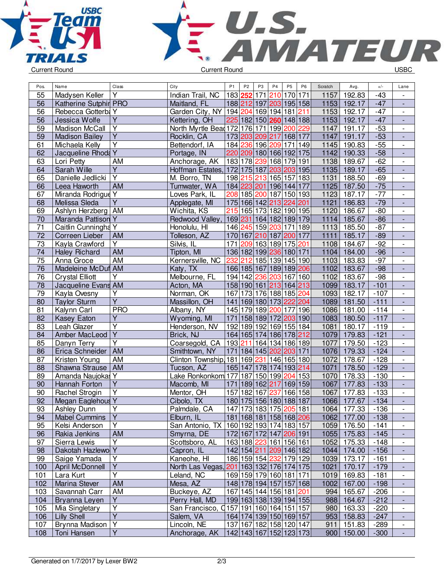



| Pos.            | Name                   | Class                   | City                                      | P <sub>1</sub> | P <sub>2</sub> | P <sub>3</sub> | P <sub>4</sub>                    | P <sub>5</sub>        | P <sub>6</sub> | Scratch | Avg.        | $+/-$  | Lane                         |
|-----------------|------------------------|-------------------------|-------------------------------------------|----------------|----------------|----------------|-----------------------------------|-----------------------|----------------|---------|-------------|--------|------------------------------|
| 55              | Madysen Keller         | Υ                       | Indian Trail, NC                          |                | 183 252        | 171            | 210                               | 170 171               |                | 1157    | 192.83      | $-43$  |                              |
| 56              | Katherine Sutphir PRO  |                         | Maitland, FL                              |                |                |                | 188 212 197 203 195 158           |                       |                | 1153    | 192.17      | $-47$  |                              |
| 56              | Rebecca Gotterba Y     |                         | Garden City, NY   194 204 169 194 181 211 |                |                |                |                                   |                       |                | 1153    | 192.17      | $-47$  | $\overline{\phantom{a}}$     |
| 56              | Jessica Wolfe          | $\overline{\mathsf{Y}}$ | Kettering, OH                             |                |                |                | 225 182 150 260 148 188           |                       |                | 1153    | 192.17      | $-47$  | $\Box$                       |
| 59              | Madison McCall         | Y                       | North Myrtle Bead 172   176   171   199   |                |                |                |                                   | 200                   | 229            | 1147    | 191.17      | $-53$  | $\overline{\phantom{a}}$     |
| 59              | <b>Madison Bailey</b>  | $\overline{Y}$          | Rocklin, CA                               |                |                |                | 173 203 209 217                   | 168 177               |                | 1147    | 191.17      | $-53$  | $\frac{1}{2}$                |
| 61              | Michaela Kelly         | $\overline{\mathsf{Y}}$ | Bettendorf, IA                            |                |                |                | 184 236 196 209                   | $\overline{171}$  149 |                | 1145    | 190.83      | $-55$  | $\qquad \qquad \blacksquare$ |
| 62              | Jacqueline Rhoda Y     |                         | Portage, IN                               |                |                |                | 220 209 180 166 192 175           |                       |                | 1142    | 190.33      | $-58$  | $\overline{\phantom{a}}$     |
| 63              | Lori Petty             | AM                      | Anchorage, AK                             |                | 183 178 239    |                | 168                               | 179 191               |                | 1138    | 189.67      | $-62$  | $\overline{\phantom{a}}$     |
| 64              | Sarah Wille            | Y                       | Hoffman Estates,                          |                | 172 175 187    |                | 203 203 195                       |                       |                | 1135    | 189.17      | $-65$  |                              |
| 65              | Danielle Jedlicki      | $\overline{\mathsf{Y}}$ | M. Borro, TN                              |                | 198 215 213    |                | 165 157                           |                       | 183            | 1131    | 188.50      | $-69$  | $\frac{1}{2}$                |
| 66              | Leea Haworth           | <b>AM</b>               | Tumwater, WA                              |                | 184 223 201    |                | 196 144 177                       |                       |                | 1125    | 187.50      | $-75$  | L,                           |
| 67              | Miranda Rodrigue Y     |                         | Loves Park, IL                            |                |                |                | 208 185 200 187 150 193           |                       |                | 1123    | 187.17      | $-77$  | $\overline{\phantom{a}}$     |
| 68              | Melissa Sleda          | $\overline{\mathsf{Y}}$ | Applegate, MI                             |                |                |                | 175 166 142 213 224 201           |                       |                | 1121    | 186.83      | $-79$  | $\Box$                       |
| 69              | Ashlyn Herzberg   AM   |                         | Wichita, KS                               |                |                |                | 215 165 173 182                   | 190 195               |                | 1120    | 186.67      | $-80$  | $\overline{\phantom{a}}$     |
| 70              | Maranda Pattison Y     |                         | Redwood Valley,                           |                |                |                | 169 231 164 182 189 179           |                       |                | 1114    | 185.67      | $-86$  | $\overline{a}$               |
| 71              | Caitlin Cunningha Y    |                         | Honolulu, HI                              |                |                |                | 146 245 159 203                   | 171 189               |                | 1113    | 185.50      | $-87$  | $\qquad \qquad \blacksquare$ |
| $\overline{72}$ | Correen Lieber         | AM                      | Tolleson, AZ                              |                |                |                | 170 167 210 187 200 177           |                       |                | 1111    | 185.17      | $-89$  | $\overline{\phantom{a}}$     |
| 73              | Kayla Crawford         | $\overline{Y}$          | Silvis, IL                                | 171            |                |                | 209 163 189 175 201               |                       |                | 1108    | 184.67      | $-92$  | $\overline{\phantom{a}}$     |
| 74              | <b>Haley Richard</b>   | <b>AM</b>               | Tipton, MI                                |                |                |                | 136 182 199 236 180 171           |                       |                | 1104    | 184.00      | $-96$  |                              |
| 75              | Anna Groce             | AM                      | Kernersville, NC                          | 232            |                |                | 212 185 139 145 190               |                       |                | 1103    | 183.83      | $-97$  | $\frac{1}{2}$                |
| 76              | Madeleine McDuf AM     |                         | Katy, TX                                  |                | 166 185 167    |                | 189 189 206                       |                       |                | 1102    | 183.67      | $-98$  |                              |
| $\overline{76}$ | <b>Crystal Elliott</b> | Y                       | Melbourne, FL                             |                |                |                | 194 142 236 203 167 160           |                       |                | 1102    | 183.67      | $-98$  | $\blacksquare$               |
| 78              | Jacqueline Evans AM    |                         | Acton, MA                                 |                |                |                | 158 190 161 213 164 213           |                       |                | 1099    | 183.17      | $-101$ | ÷,                           |
| 79              | Kayla Ovesny           | $\overline{Y}$          | Norman, OK                                |                |                |                | 167 173 176 188 185 204           |                       |                | 1093    | 182.17      | $-107$ | $\frac{1}{2}$                |
| 80              | <b>Taylor Sturm</b>    | Ÿ                       | Massillon, OH                             |                |                |                | 141 169 180 173 222 204           |                       |                | 1089    | 181.50      | $-111$ | $\frac{1}{2}$                |
| 81              | Kalynn Carl            | <b>PRO</b>              | Albany, NY                                |                |                |                | 145 179 189 200                   | $\overline{177}$  196 |                | 1086    | 181.00      | $-114$ | $\qquad \qquad \blacksquare$ |
| 82              | Kasey Eaton            | Y                       | Wyoming, MI                               | 171            |                |                | 158 189 172 203 190               |                       |                | 1083    | 180.50      | $-117$ |                              |
| 83              | Leah Glazer            | $\overline{\mathsf{Y}}$ | Henderson, NV                             |                |                |                | 192 189 192 169 155 184           |                       |                | 1081    | 180.17      | $-119$ |                              |
| 84              | Amber MacLeod          | $\overline{\mathsf{Y}}$ | Brick, NJ                                 |                |                |                | 164 165 174 186 178 212           |                       |                | 1079    | 179.83      | $-121$ | $\overline{\phantom{a}}$     |
| 85              | Danyn Terry            | $\overline{Y}$          | Coarsegold, CA                            |                |                |                | 193 211 164 134                   | 186 189               |                | 1077    | 179.50      | $-123$ | $\frac{1}{2}$                |
| 86              | Erica Schneider        | <b>AM</b>               | Smithtown, NY                             | 171            |                |                | 184 145 202 203 171               |                       |                | 1076    | 179.33      | $-124$ |                              |
| 87              | Kristen Young          | AM                      | Clinton Township 181 169 231 146 165 180  |                |                |                |                                   |                       |                | 1072    | 178.67      | $-128$ | $\frac{1}{2}$                |
| 88              | Shawna Strause         | AM                      | Tucson, AZ                                |                |                |                | 165 147 178 174 193 214           |                       |                | 1071    | 178.50      | $-129$ | ÷,                           |
| 89              | Amanda Naujokas Y      |                         | Lake Ronkonkom 177                        |                |                |                | 187 150 199                       | 204                   | 153            | 1070    | 178.33      | $-130$ | $\frac{1}{2}$                |
| 90              | Hannah Forton          | $\overline{Y}$          | Macomb, MI                                | 171            |                | 189 162 217    |                                   | 169 159               |                | 1067    | 177.83      | $-133$ | $\blacksquare$               |
| 90              | <b>Rachel Strogin</b>  | $\overline{Y}$          | Mentor, OH                                | 157            | 182            | 167            | 237                               | 166 158               |                | 1067    | 177.83      | $-133$ | $\qquad \qquad \blacksquare$ |
| $\overline{92}$ | Megan Eaglehous Y      |                         | Cibolo, TX                                |                |                |                | 180 175 156 180 188 187           |                       |                | 1066    | 177.67      | $-134$ |                              |
| 93              | Ashley Dunn            | Y                       | Palmdale, CA                              |                |                |                | 147 173 183 175 205 181           |                       |                |         | 1064 177.33 | -136   | $\overline{\phantom{a}}$     |
| 94              | <b>Mabel Cummins</b>   | $\overline{Y}$          | Elburn, IL                                |                |                |                | 181   168   181   158   168   206 |                       |                | 1062    | 177.00      | $-138$ |                              |
| 95              | Kelsi Anderson         | Υ                       | San Antonio, TX                           |                |                |                | 160 192 193 174 183 157           |                       |                | 1059    | 176.50      | $-141$ | $\overline{\phantom{a}}$     |
| 96              | Rakia Jenkins          | AM                      | Smyrna, DE                                |                |                |                | 172 167 172 147 206 191           |                       |                | 1055    | 175.83      | $-145$ |                              |
| 97              | Sierra Lewis           | $\overline{Y}$          | Scottsboro, AL                            |                |                |                | 163 188 223 161 156 161           |                       |                | 1052    | 175.33      | $-148$ | $\overline{\phantom{a}}$     |
| 98              | Dakotah Hazlewo Y      |                         | Capron, IL                                |                |                |                | 142 154 211 209 146 182           |                       |                | 1044    | 174.00      | $-156$ | $\overline{\phantom{a}}$     |
| 99              | Saige Yamada           | Y                       | Kaneohe, HI                               |                |                |                | 186 159 154 232 179 129           |                       |                | 1039    | 173.17      | $-161$ | $\overline{\phantom{a}}$     |
| 100             | <b>April McDonnell</b> | $\overline{Y}$          | North Las Vegas, 201 163 132 176 174 175  |                |                |                |                                   |                       |                | 1021    | 170.17      | $-179$ | $\overline{\phantom{a}}$     |
| 101             | Lara Kurt              | $\overline{Y}$          | Leland, NC                                |                |                |                | 169 159 179 160 181 171           |                       |                | 1019    | 169.83      | $-181$ | $\qquad \qquad \blacksquare$ |
| 102             | Marina Stever          | AM                      | Mesa, AZ                                  |                |                |                | 148 178 194 157 157 168           |                       |                | 1002    | 167.00      | $-198$ | $\overline{\phantom{a}}$     |
| 103             | Savannah Carr          | AM                      | Buckeye, AZ                               |                |                |                | 167 145 144 156 181 201           |                       |                | 994     | 165.67      | $-206$ | $\overline{\phantom{a}}$     |
| 104             | Bryanna Leyen          | $\overline{Y}$          | Perry Hall, MD                            |                |                |                | 199 163 138 139 194 155           |                       |                | 988     | 164.67      | $-212$ |                              |
| 105             | Mia Singletary         | Y                       | San Francisco, Q157 191 160 164 151 157   |                |                |                |                                   |                       |                | 980     | 163.33      | $-220$ | $\overline{\phantom{a}}$     |
| 106             | <b>Lilly Shell</b>     | Ÿ                       | Salem, VA                                 |                |                |                | 164 174 139 150 169 157           |                       |                | 953     | 158.83      | $-247$ |                              |
| 107             | Brynna Madison         | $\overline{Y}$          | Lincoln, NE                               |                |                |                | 137 167 182 158 120 147           |                       |                | 911     | 151.83      | $-289$ | $\overline{\phantom{a}}$     |
| 108             | Toni Hansen            | $\overline{Y}$          | Anchorage, AK                             |                |                |                | 142 143 167 152 123 173           |                       |                | 900     | 150.00      | $-300$ | $\overline{\phantom{a}}$     |